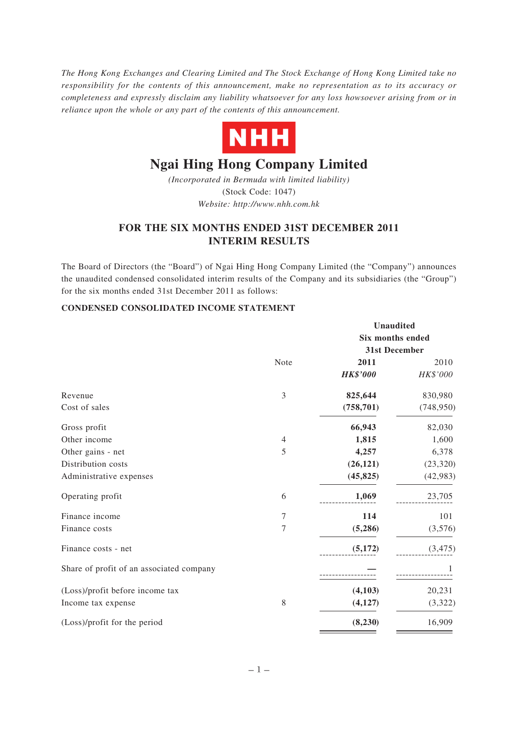*The Hong Kong Exchanges and Clearing Limited and The Stock Exchange of Hong Kong Limited take no responsibility for the contents of this announcement, make no representation as to its accuracy or completeness and expressly disclaim any liability whatsoever for any loss howsoever arising from or in reliance upon the whole or any part of the contents of this announcement.*



# **Ngai Hing Hong Company Limited**

*(Incorporated in Bermuda with limited liability)* (Stock Code: 1047) *Website: http://www.nhh.com.hk*

# **FOR THE SIX MONTHS ENDED 31ST DECEMBER 2011 INTERIM RESULTS**

The Board of Directors (the "Board") of Ngai Hing Hong Company Limited (the "Company") announces the unaudited condensed consolidated interim results of the Company and its subsidiaries (the "Group") for the six months ended 31st December 2011 as follows:

## **CONDENSED CONSOLIDATED INCOME STATEMENT**

|                                          |                | Unaudited        |            |
|------------------------------------------|----------------|------------------|------------|
|                                          |                | Six months ended |            |
|                                          |                | 31st December    |            |
|                                          | Note           | 2011             | 2010       |
|                                          |                | <b>HK\$'000</b>  | HK\$'000   |
| Revenue                                  | 3              | 825,644          | 830,980    |
| Cost of sales                            |                | (758, 701)       | (748, 950) |
| Gross profit                             |                | 66,943           | 82,030     |
| Other income                             | 4              | 1,815            | 1,600      |
| Other gains - net                        | 5              | 4,257            | 6,378      |
| Distribution costs                       |                | (26, 121)        | (23, 320)  |
| Administrative expenses                  |                | (45, 825)        | (42, 983)  |
| Operating profit                         | 6              | 1,069            | 23,705     |
| Finance income                           | 7              | 114              | 101        |
| Finance costs                            | $\overline{7}$ | (5,286)          | (3,576)    |
| Finance costs - net                      |                | (5, 172)         | (3, 475)   |
| Share of profit of an associated company |                |                  |            |
| (Loss)/profit before income tax          |                | (4,103)          | 20,231     |
| Income tax expense                       | 8              | (4,127)          | (3,322)    |
| (Loss)/profit for the period             |                | (8, 230)         | 16,909     |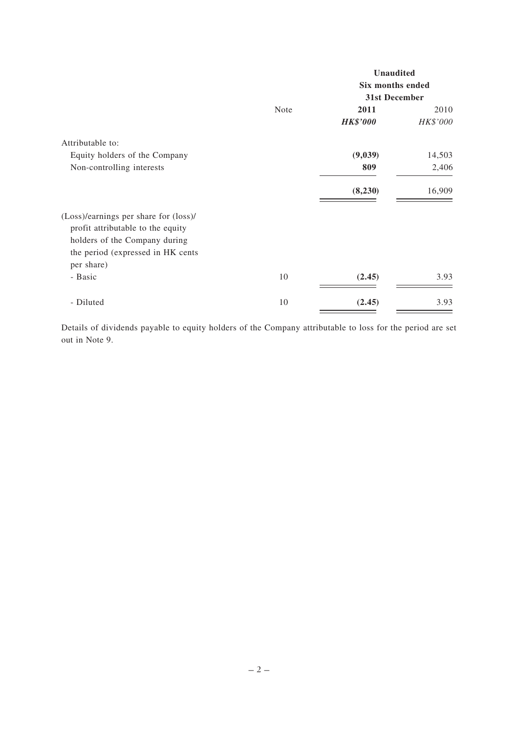|                                                                                                                                                  |      | <b>Unaudited</b>        |          |
|--------------------------------------------------------------------------------------------------------------------------------------------------|------|-------------------------|----------|
|                                                                                                                                                  |      | <b>Six months ended</b> |          |
|                                                                                                                                                  |      | 31st December           |          |
|                                                                                                                                                  | Note | 2011                    | 2010     |
|                                                                                                                                                  |      | <b>HK\$'000</b>         | HK\$'000 |
| Attributable to:                                                                                                                                 |      |                         |          |
| Equity holders of the Company                                                                                                                    |      | (9,039)                 | 14,503   |
| Non-controlling interests                                                                                                                        |      | 809                     | 2,406    |
|                                                                                                                                                  |      | (8,230)                 | 16,909   |
| (Loss)/earnings per share for (loss)/<br>profit attributable to the equity<br>holders of the Company during<br>the period (expressed in HK cents |      |                         |          |
| per share)<br>- Basic                                                                                                                            | 10   | (2.45)                  | 3.93     |
| - Diluted                                                                                                                                        | 10   | (2.45)                  | 3.93     |

Details of dividends payable to equity holders of the Company attributable to loss for the period are set out in Note 9.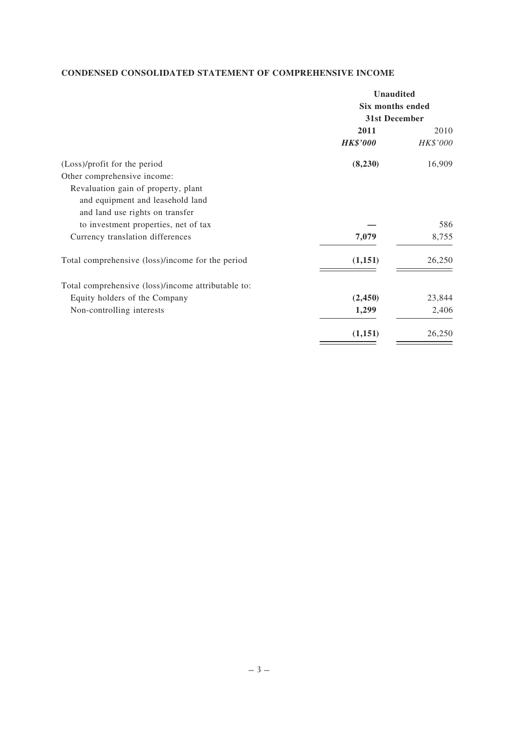## **CONDENSED CONSOLIDATED STATEMENT OF COMPREHENSIVE INCOME**

|                                                    | <b>Unaudited</b>        |          |  |
|----------------------------------------------------|-------------------------|----------|--|
|                                                    | <b>Six months ended</b> |          |  |
|                                                    | 31st December           |          |  |
|                                                    | 2011                    | 2010     |  |
|                                                    | <b>HK\$'000</b>         | HK\$'000 |  |
| (Loss)/profit for the period                       | (8,230)                 | 16,909   |  |
| Other comprehensive income:                        |                         |          |  |
| Revaluation gain of property, plant                |                         |          |  |
| and equipment and leasehold land                   |                         |          |  |
| and land use rights on transfer                    |                         |          |  |
| to investment properties, net of tax               |                         | 586      |  |
| Currency translation differences                   | 7,079                   | 8,755    |  |
| Total comprehensive (loss)/income for the period   | (1, 151)                | 26,250   |  |
| Total comprehensive (loss)/income attributable to: |                         |          |  |
| Equity holders of the Company                      | (2, 450)                | 23,844   |  |
| Non-controlling interests                          | 1,299                   | 2,406    |  |
|                                                    | (1,151)                 | 26,250   |  |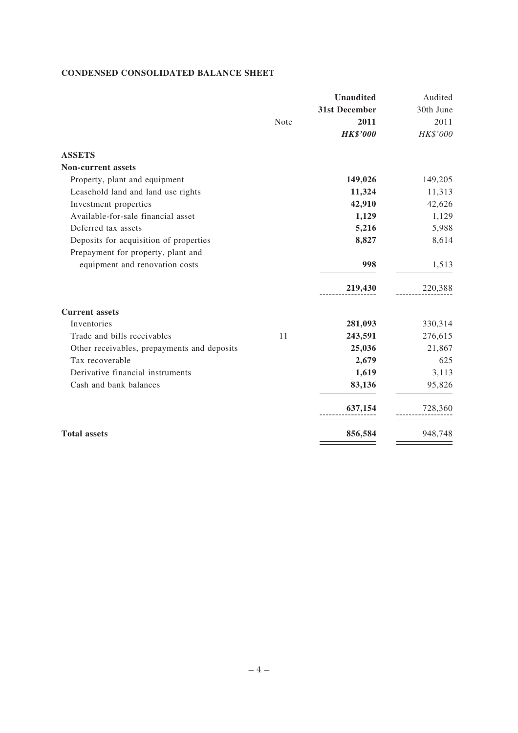## **CONDENSED CONSOLIDATED BALANCE SHEET**

|                                             |      | <b>Unaudited</b> | Audited   |
|---------------------------------------------|------|------------------|-----------|
|                                             |      | 31st December    | 30th June |
|                                             | Note | 2011             | 2011      |
|                                             |      | <b>HK\$'000</b>  | HK\$'000  |
| <b>ASSETS</b>                               |      |                  |           |
| <b>Non-current assets</b>                   |      |                  |           |
| Property, plant and equipment               |      | 149,026          | 149,205   |
| Leasehold land and land use rights          |      | 11,324           | 11,313    |
| Investment properties                       |      | 42,910           | 42,626    |
| Available-for-sale financial asset          |      | 1,129            | 1,129     |
| Deferred tax assets                         |      | 5,216            | 5,988     |
| Deposits for acquisition of properties      |      | 8,827            | 8,614     |
| Prepayment for property, plant and          |      |                  |           |
| equipment and renovation costs              |      | 998              | 1,513     |
|                                             |      | 219,430          | 220,388   |
| <b>Current assets</b>                       |      |                  |           |
| Inventories                                 |      | 281,093          | 330,314   |
| Trade and bills receivables                 | 11   | 243,591          | 276,615   |
| Other receivables, prepayments and deposits |      | 25,036           | 21,867    |
| Tax recoverable                             |      | 2,679            | 625       |
| Derivative financial instruments            |      | 1,619            | 3,113     |
| Cash and bank balances                      |      | 83,136           | 95,826    |
|                                             |      | 637,154          | 728,360   |
| <b>Total assets</b>                         |      | 856,584          | 948,748   |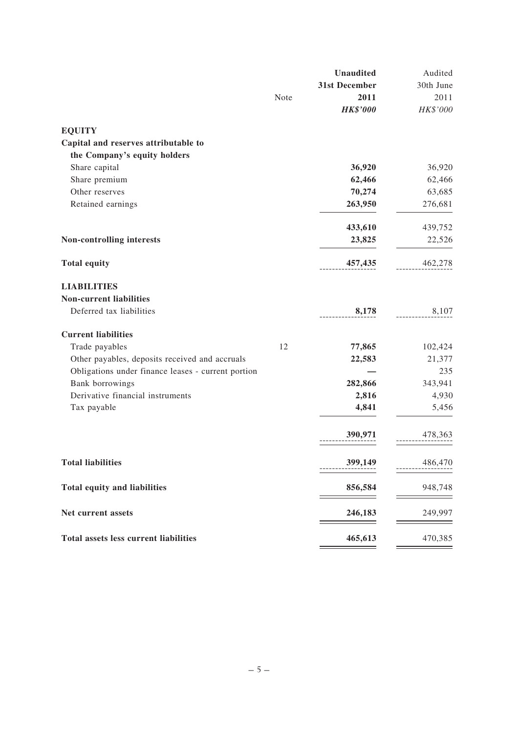|                                                    |      | <b>Unaudited</b> | Audited   |
|----------------------------------------------------|------|------------------|-----------|
|                                                    |      | 31st December    | 30th June |
|                                                    | Note | 2011             | 2011      |
|                                                    |      | <b>HK\$'000</b>  | HK\$'000  |
| <b>EQUITY</b>                                      |      |                  |           |
| Capital and reserves attributable to               |      |                  |           |
| the Company's equity holders                       |      |                  |           |
| Share capital                                      |      | 36,920           | 36,920    |
| Share premium                                      |      | 62,466           | 62,466    |
| Other reserves                                     |      | 70,274           | 63,685    |
| Retained earnings                                  |      | 263,950          | 276,681   |
|                                                    |      | 433,610          | 439,752   |
| Non-controlling interests                          |      | 23,825           | 22,526    |
| <b>Total equity</b>                                |      | 457,435          | 462,278   |
| <b>LIABILITIES</b>                                 |      |                  |           |
| <b>Non-current liabilities</b>                     |      |                  |           |
| Deferred tax liabilities                           |      | 8,178            | 8,107     |
| <b>Current liabilities</b>                         |      |                  |           |
| Trade payables                                     | 12   | 77,865           | 102,424   |
| Other payables, deposits received and accruals     |      | 22,583           | 21,377    |
| Obligations under finance leases - current portion |      |                  | 235       |
| Bank borrowings                                    |      | 282,866          | 343,941   |
| Derivative financial instruments                   |      | 2,816            | 4,930     |
| Tax payable                                        |      | 4,841            | 5,456     |
|                                                    |      | 390,971          | 478,363   |
| <b>Total liabilities</b>                           |      | 399,149          | 486,470   |
| <b>Total equity and liabilities</b>                |      | 856,584          | 948,748   |
| Net current assets                                 |      | 246,183          | 249,997   |
| <b>Total assets less current liabilities</b>       |      | 465,613          | 470,385   |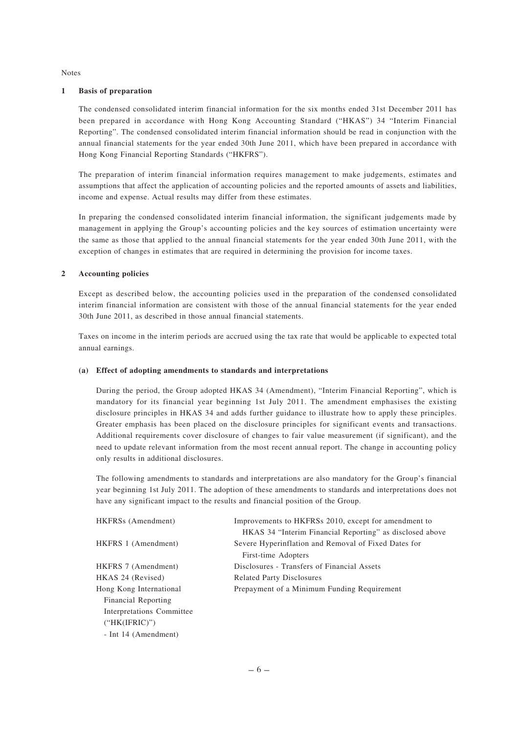Notes

#### **1 Basis of preparation**

The condensed consolidated interim financial information for the six months ended 31st December 2011 has been prepared in accordance with Hong Kong Accounting Standard ("HKAS") 34 "Interim Financial Reporting". The condensed consolidated interim financial information should be read in conjunction with the annual financial statements for the year ended 30th June 2011, which have been prepared in accordance with Hong Kong Financial Reporting Standards ("HKFRS").

The preparation of interim financial information requires management to make judgements, estimates and assumptions that affect the application of accounting policies and the reported amounts of assets and liabilities, income and expense. Actual results may differ from these estimates.

In preparing the condensed consolidated interim financial information, the significant judgements made by management in applying the Group's accounting policies and the key sources of estimation uncertainty were the same as those that applied to the annual financial statements for the year ended 30th June 2011, with the exception of changes in estimates that are required in determining the provision for income taxes.

#### **2 Accounting policies**

Except as described below, the accounting policies used in the preparation of the condensed consolidated interim financial information are consistent with those of the annual financial statements for the year ended 30th June 2011, as described in those annual financial statements.

Taxes on income in the interim periods are accrued using the tax rate that would be applicable to expected total annual earnings.

#### **(a) Effect of adopting amendments to standards and interpretations**

During the period, the Group adopted HKAS 34 (Amendment), "Interim Financial Reporting", which is mandatory for its financial year beginning 1st July 2011. The amendment emphasises the existing disclosure principles in HKAS 34 and adds further guidance to illustrate how to apply these principles. Greater emphasis has been placed on the disclosure principles for significant events and transactions. Additional requirements cover disclosure of changes to fair value measurement (if significant), and the need to update relevant information from the most recent annual report. The change in accounting policy only results in additional disclosures.

The following amendments to standards and interpretations are also mandatory for the Group's financial year beginning 1st July 2011. The adoption of these amendments to standards and interpretations does not have any significant impact to the results and financial position of the Group.

| HKFRSs (Amendment)        | Improvements to HKFRSs 2010, except for amendment to     |
|---------------------------|----------------------------------------------------------|
|                           | HKAS 34 "Interim Financial Reporting" as disclosed above |
| HKFRS 1 (Amendment)       | Severe Hyperinflation and Removal of Fixed Dates for     |
|                           | First-time Adopters                                      |
| HKFRS 7 (Amendment)       | Disclosures - Transfers of Financial Assets              |
| HKAS 24 (Revised)         | <b>Related Party Disclosures</b>                         |
| Hong Kong International   | Prepayment of a Minimum Funding Requirement              |
| Financial Reporting       |                                                          |
| Interpretations Committee |                                                          |
| ("HK(IFRIC)")             |                                                          |
| - Int 14 (Amendment)      |                                                          |
|                           |                                                          |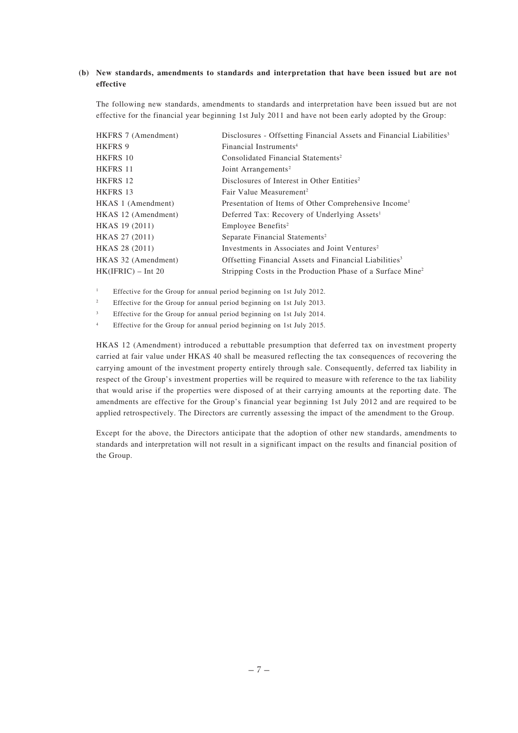## **(b) New standards, amendments to standards and interpretation that have been issued but are not effective**

The following new standards, amendments to standards and interpretation have been issued but are not effective for the financial year beginning 1st July 2011 and have not been early adopted by the Group:

| HKFRS 7 (Amendment)  | Disclosures - Offsetting Financial Assets and Financial Liabilities <sup>3</sup> |
|----------------------|----------------------------------------------------------------------------------|
| <b>HKFRS 9</b>       | Financial Instruments <sup>4</sup>                                               |
| HKFRS 10             | Consolidated Financial Statements <sup>2</sup>                                   |
| <b>HKFRS 11</b>      | Joint Arrangements <sup>2</sup>                                                  |
| HKFRS 12             | Disclosures of Interest in Other Entities <sup>2</sup>                           |
| HKFRS 13             | Fair Value Measurement <sup>2</sup>                                              |
| HKAS 1 (Amendment)   | Presentation of Items of Other Comprehensive Income                              |
| HKAS 12 (Amendment)  | Deferred Tax: Recovery of Underlying Assets <sup>1</sup>                         |
| HKAS 19 (2011)       | Employee Benefits <sup>2</sup>                                                   |
| HKAS 27 (2011)       | Separate Financial Statements <sup>2</sup>                                       |
| HKAS 28 (2011)       | Investments in Associates and Joint Ventures <sup>2</sup>                        |
| HKAS 32 (Amendment)  | Offsetting Financial Assets and Financial Liabilities <sup>3</sup>               |
| $HK(IFRIC) - Int 20$ | Stripping Costs in the Production Phase of a Surface Mine <sup>2</sup>           |

<sup>1</sup> Effective for the Group for annual period beginning on 1st July 2012.

<sup>2</sup> Effective for the Group for annual period beginning on 1st July 2013.

Effective for the Group for annual period beginning on 1st July 2014.

<sup>4</sup> Effective for the Group for annual period beginning on 1st July 2015.

HKAS 12 (Amendment) introduced a rebuttable presumption that deferred tax on investment property carried at fair value under HKAS 40 shall be measured reflecting the tax consequences of recovering the carrying amount of the investment property entirely through sale. Consequently, deferred tax liability in respect of the Group's investment properties will be required to measure with reference to the tax liability that would arise if the properties were disposed of at their carrying amounts at the reporting date. The amendments are effective for the Group's financial year beginning 1st July 2012 and are required to be applied retrospectively. The Directors are currently assessing the impact of the amendment to the Group.

Except for the above, the Directors anticipate that the adoption of other new standards, amendments to standards and interpretation will not result in a significant impact on the results and financial position of the Group.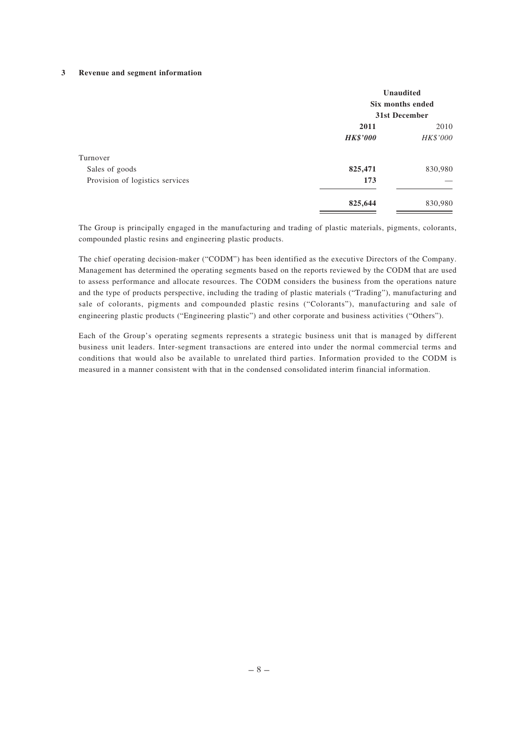#### **3 Revenue and segment information**

|                                 | <b>Unaudited</b><br>Six months ended<br>31st December |          |  |
|---------------------------------|-------------------------------------------------------|----------|--|
|                                 | 2011                                                  | 2010     |  |
|                                 | <b>HK\$'000</b>                                       | HK\$'000 |  |
| Turnover                        |                                                       |          |  |
| Sales of goods                  | 825,471                                               | 830,980  |  |
| Provision of logistics services | 173                                                   |          |  |
|                                 | 825,644                                               | 830,980  |  |

The Group is principally engaged in the manufacturing and trading of plastic materials, pigments, colorants, compounded plastic resins and engineering plastic products.

The chief operating decision-maker ("CODM") has been identified as the executive Directors of the Company. Management has determined the operating segments based on the reports reviewed by the CODM that are used to assess performance and allocate resources. The CODM considers the business from the operations nature and the type of products perspective, including the trading of plastic materials ("Trading"), manufacturing and sale of colorants, pigments and compounded plastic resins ("Colorants"), manufacturing and sale of engineering plastic products ("Engineering plastic") and other corporate and business activities ("Others").

Each of the Group's operating segments represents a strategic business unit that is managed by different business unit leaders. Inter-segment transactions are entered into under the normal commercial terms and conditions that would also be available to unrelated third parties. Information provided to the CODM is measured in a manner consistent with that in the condensed consolidated interim financial information.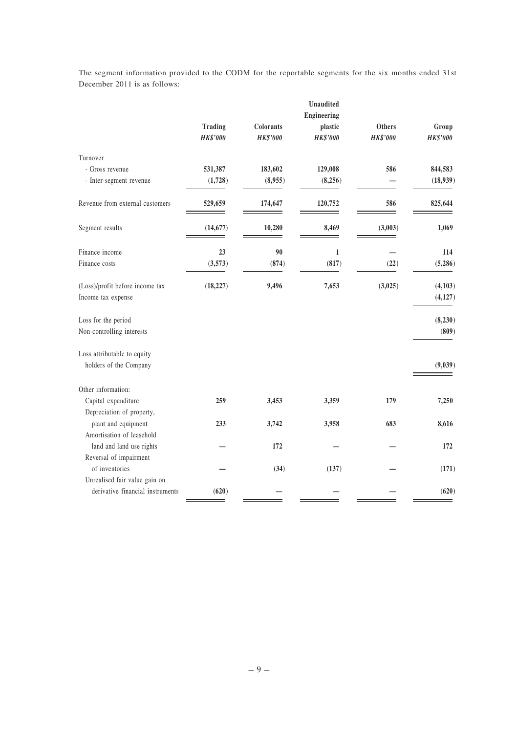|                                  |                 |                 | <b>Unaudited</b>           |                 |                          |
|----------------------------------|-----------------|-----------------|----------------------------|-----------------|--------------------------|
|                                  | <b>Trading</b>  | Colorants       | <b>Engineering</b>         | Others          |                          |
|                                  | <b>HK\$'000</b> | <b>HK\$'000</b> | plastic<br><b>HK\$'000</b> | <b>HK\$'000</b> | Group<br><b>HK\$'000</b> |
|                                  |                 |                 |                            |                 |                          |
| Turnover                         |                 |                 |                            |                 |                          |
| - Gross revenue                  | 531,387         | 183,602         | 129,008                    | 586             | 844,583                  |
| - Inter-segment revenue          | (1,728)         | (8,955)         | (8,256)                    |                 | (18,939)                 |
| Revenue from external customers  | 529,659         | 174,647         | 120,752                    | 586             | 825,644                  |
| Segment results                  | (14, 677)       | 10,280          | 8,469                      | (3,003)         | 1,069                    |
| Finance income                   | 23              | 90              | $\mathbf{1}$               |                 | 114                      |
| Finance costs                    | (3,573)         | (874)           | (817)                      | (22)            | (5,286)                  |
| (Loss)/profit before income tax  | (18, 227)       | 9,496           | 7,653                      | (3,025)         | (4,103)                  |
| Income tax expense               |                 |                 |                            |                 | (4, 127)                 |
| Loss for the period              |                 |                 |                            |                 | (8, 230)                 |
| Non-controlling interests        |                 |                 |                            |                 | (809)                    |
| Loss attributable to equity      |                 |                 |                            |                 |                          |
| holders of the Company           |                 |                 |                            |                 | (9,039)                  |
| Other information:               |                 |                 |                            |                 |                          |
| Capital expenditure              | 259             | 3,453           | 3,359                      | 179             | 7,250                    |
| Depreciation of property,        |                 |                 |                            |                 |                          |
| plant and equipment              | 233             | 3,742           | 3,958                      | 683             | 8,616                    |
| Amortisation of leasehold        |                 |                 |                            |                 |                          |
| land and land use rights         |                 | 172             |                            |                 | 172                      |
| Reversal of impairment           |                 |                 |                            |                 |                          |
| of inventories                   |                 | (34)            | (137)                      |                 | (171)                    |
| Unrealised fair value gain on    |                 |                 |                            |                 |                          |
| derivative financial instruments | (620)           |                 |                            |                 | (620)                    |

The segment information provided to the CODM for the reportable segments for the six months ended 31st December 2011 is as follows: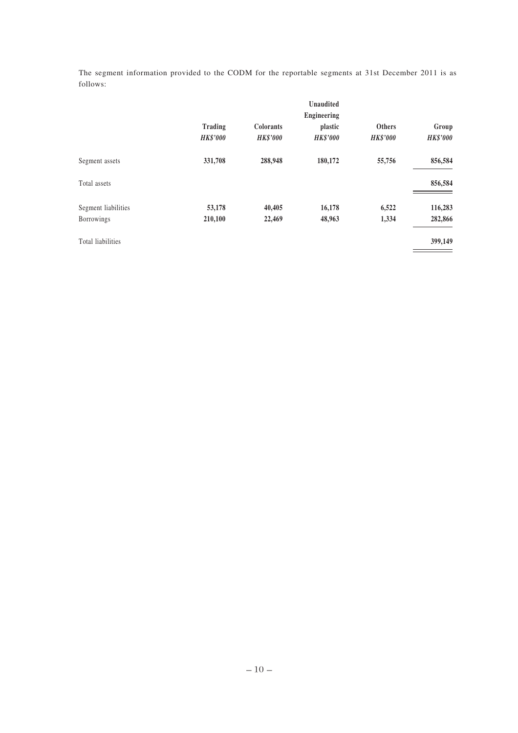The segment information provided to the CODM for the reportable segments at 31st December 2011 is as follows:

|                                   | Trading<br><b>HK\$'000</b> | <b>Colorants</b><br><b>HK\$'000</b> | <b>Unaudited</b><br><b>Engineering</b><br>plastic<br><b>HK\$'000</b> | <b>Others</b><br><b>HK\$'000</b> | Group<br><b>HK\$'000</b> |
|-----------------------------------|----------------------------|-------------------------------------|----------------------------------------------------------------------|----------------------------------|--------------------------|
| Segment assets                    | 331,708                    | 288,948                             | 180,172                                                              | 55,756                           | 856,584                  |
| Total assets                      |                            |                                     |                                                                      |                                  | 856,584                  |
| Segment liabilities<br>Borrowings | 53,178<br>210,100          | 40,405<br>22,469                    | 16,178<br>48,963                                                     | 6,522<br>1,334                   | 116,283<br>282,866       |
| Total liabilities                 |                            |                                     |                                                                      |                                  | 399,149                  |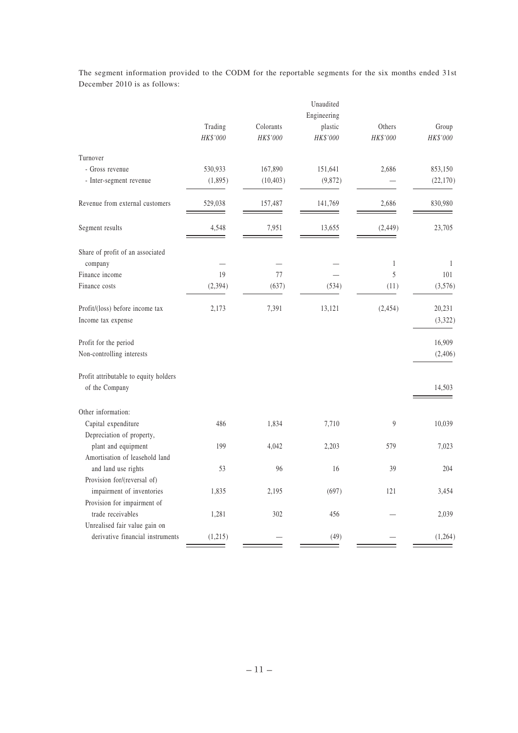|                                                          | Trading<br>HK\$'000 | Colorants<br>HK\$'000 | Unaudited<br>Engineering<br>plastic<br>HK\$'000 | Others<br>HK\$'000 | Group<br>$HK\$ '000 |
|----------------------------------------------------------|---------------------|-----------------------|-------------------------------------------------|--------------------|---------------------|
| Turnover                                                 |                     |                       |                                                 |                    |                     |
| - Gross revenue                                          | 530,933             | 167,890               | 151,641                                         | 2,686              | 853,150             |
| - Inter-segment revenue                                  | (1, 895)            | (10, 403)             | (9,872)                                         |                    | (22, 170)           |
| Revenue from external customers                          | 529,038             | 157,487               | 141,769                                         | 2,686              | 830,980             |
| Segment results                                          | 4,548               | 7,951                 | 13,655                                          | (2, 449)           | 23,705              |
| Share of profit of an associated                         |                     |                       |                                                 |                    |                     |
| company                                                  |                     |                       |                                                 | 1                  | $\mathbf{1}$        |
| Finance income                                           | 19                  | 77                    |                                                 | 5                  | 101                 |
| Finance costs                                            | (2, 394)            | (637)                 | (534)                                           | (11)               | (3,576)             |
| Profit/(loss) before income tax<br>Income tax expense    | 2,173               | 7,391                 | 13,121                                          | (2, 454)           | 20,231<br>(3, 322)  |
| Profit for the period                                    |                     |                       |                                                 |                    | 16,909              |
| Non-controlling interests                                |                     |                       |                                                 |                    | (2,406)             |
| Profit attributable to equity holders                    |                     |                       |                                                 |                    |                     |
| of the Company                                           |                     |                       |                                                 |                    | 14,503              |
| Other information:                                       |                     |                       |                                                 |                    |                     |
| Capital expenditure                                      | 486                 | 1,834                 | 7,710                                           | $\overline{9}$     | 10,039              |
| Depreciation of property,                                |                     |                       |                                                 |                    |                     |
| plant and equipment                                      | 199                 | 4,042                 | 2,203                                           | 579                | 7,023               |
| Amortisation of leasehold land                           |                     |                       |                                                 |                    |                     |
| and land use rights                                      | 53                  | 96                    | 16                                              | 39                 | 204                 |
| Provision for/(reversal of)<br>impairment of inventories |                     |                       |                                                 | 121                |                     |
| Provision for impairment of                              | 1,835               | 2,195                 | (697)                                           |                    | 3,454               |
| trade receivables                                        | 1,281               | 302                   | 456                                             |                    | 2,039               |
| Unrealised fair value gain on                            |                     |                       |                                                 |                    |                     |
| derivative financial instruments                         | (1,215)             |                       | (49)                                            |                    | (1,264)             |

The segment information provided to the CODM for the reportable segments for the six months ended 31st December 2010 is as follows: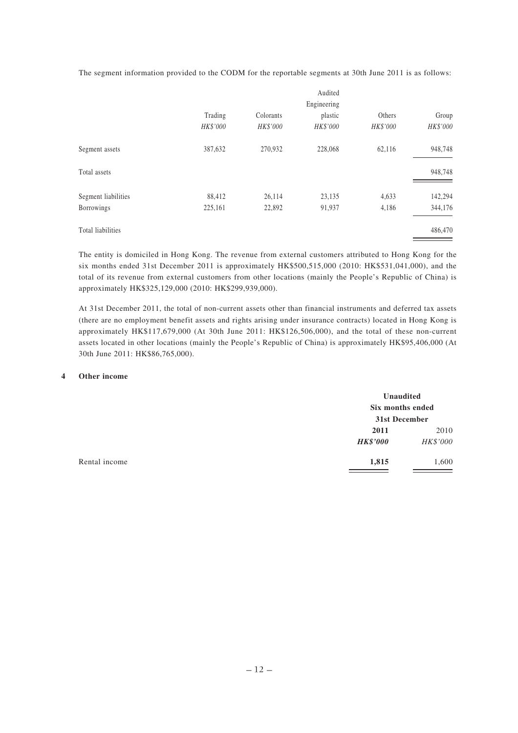The segment information provided to the CODM for the reportable segments at 30th June 2011 is as follows:

|                     |          |           | Audited     |          |          |
|---------------------|----------|-----------|-------------|----------|----------|
|                     |          |           | Engineering |          |          |
|                     | Trading  | Colorants | plastic     | Others   | Group    |
|                     | HK\$'000 | HK\$'000  | HK\$'000    | HK\$'000 | HK\$'000 |
| Segment assets      | 387,632  | 270,932   | 228,068     | 62,116   | 948,748  |
| Total assets        |          |           |             |          | 948,748  |
| Segment liabilities | 88,412   | 26,114    | 23,135      | 4,633    | 142,294  |
| Borrowings          | 225,161  | 22,892    | 91,937      | 4,186    | 344,176  |
| Total liabilities   |          |           |             |          | 486,470  |

The entity is domiciled in Hong Kong. The revenue from external customers attributed to Hong Kong for the six months ended 31st December 2011 is approximately HK\$500,515,000 (2010: HK\$531,041,000), and the total of its revenue from external customers from other locations (mainly the People's Republic of China) is approximately HK\$325,129,000 (2010: HK\$299,939,000).

At 31st December 2011, the total of non-current assets other than financial instruments and deferred tax assets (there are no employment benefit assets and rights arising under insurance contracts) located in Hong Kong is approximately HK\$117,679,000 (At 30th June 2011: HK\$126,506,000), and the total of these non-current assets located in other locations (mainly the People's Republic of China) is approximately HK\$95,406,000 (At 30th June 2011: HK\$86,765,000).

#### **4 Other income**

| Unaudited<br>Six months ended<br>31st December |          |
|------------------------------------------------|----------|
| 2011                                           | 2010     |
| <b>HK\$'000</b>                                | HK\$'000 |
| 1,815                                          | 1,600    |
|                                                |          |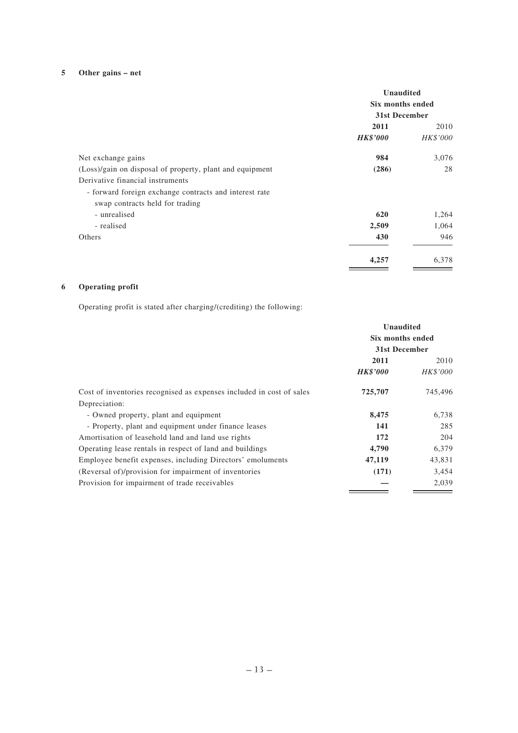## **5 Other gains – net**

|                                                          | <b>Unaudited</b><br>Six months ended<br>31st December |          |
|----------------------------------------------------------|-------------------------------------------------------|----------|
|                                                          | 2011                                                  | 2010     |
|                                                          | <b>HK\$'000</b>                                       | HK\$'000 |
| Net exchange gains                                       | 984                                                   | 3,076    |
| (Loss)/gain on disposal of property, plant and equipment | (286)                                                 | 28       |
| Derivative financial instruments                         |                                                       |          |
| - forward foreign exchange contracts and interest rate   |                                                       |          |
| swap contracts held for trading                          |                                                       |          |
| - unrealised                                             | 620                                                   | 1,264    |
| - realised                                               | 2,509                                                 | 1,064    |
| Others                                                   | 430                                                   | 946      |
|                                                          | 4,257                                                 | 6,378    |

## **6 Operating profit**

Operating profit is stated after charging/(crediting) the following:

| Unaudited<br>Six months ended<br>31st December |         |                 |          |
|------------------------------------------------|---------|-----------------|----------|
|                                                |         | 2011            | 2010     |
|                                                |         | <b>HK\$'000</b> | HK\$'000 |
| 725,707                                        | 745,496 |                 |          |
|                                                |         |                 |          |
| 8,475                                          | 6,738   |                 |          |
| 141                                            | 285     |                 |          |
| 172                                            | 204     |                 |          |
| 4,790                                          | 6,379   |                 |          |
| 47,119                                         | 43,831  |                 |          |
| (171)                                          | 3,454   |                 |          |
|                                                | 2,039   |                 |          |
|                                                |         |                 |          |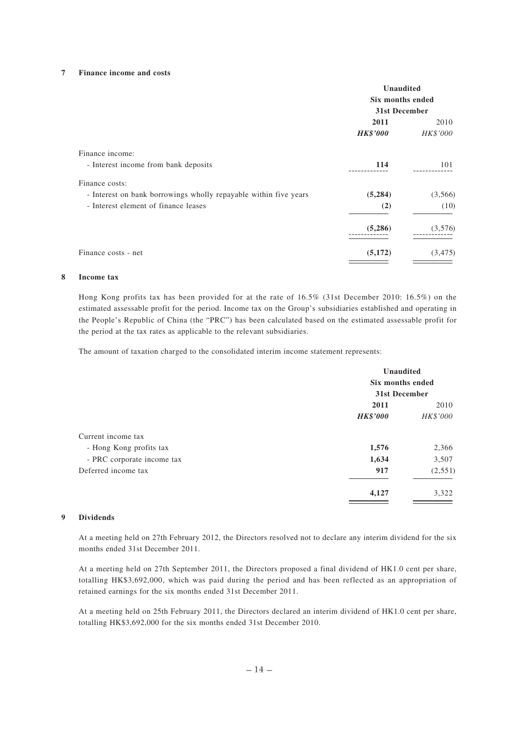#### **7 Finance income and costs**

|                                                                  | <b>Unaudited</b><br>Six months ended<br>31st December |          |
|------------------------------------------------------------------|-------------------------------------------------------|----------|
|                                                                  |                                                       |          |
|                                                                  |                                                       |          |
|                                                                  | 2011                                                  | 2010     |
|                                                                  | <b>HK\$'000</b>                                       | HK\$'000 |
| Finance income:                                                  |                                                       |          |
| - Interest income from bank deposits                             | 114                                                   | 101      |
| Finance costs:                                                   |                                                       |          |
| - Interest on bank borrowings wholly repayable within five years | (5,284)                                               | (3,566)  |
| - Interest element of finance leases                             | (2)                                                   | (10)     |
|                                                                  | (5,286)                                               | (3,576)  |
| Finance costs - net                                              | (5,172)                                               | (3, 475) |

#### **8 Income tax**

Hong Kong profits tax has been provided for at the rate of 16.5% (31st December 2010: 16.5%) on the estimated assessable profit for the period. Income tax on the Group's subsidiaries established and operating in the People's Republic of China (the "PRC") has been calculated based on the estimated assessable profit for the period at the tax rates as applicable to the relevant subsidiaries.

The amount of taxation charged to the consolidated interim income statement represents:

|                            | Unaudited<br>Six months ended |               |  |
|----------------------------|-------------------------------|---------------|--|
|                            |                               | 31st December |  |
|                            | 2011                          | 2010          |  |
|                            | <b>HK\$'000</b>               | HK\$'000      |  |
| Current income tax         |                               |               |  |
| - Hong Kong profits tax    | 1,576                         | 2,366         |  |
| - PRC corporate income tax | 1,634                         | 3,507         |  |
| Deferred income tax        | 917                           | (2,551)       |  |
|                            | 4,127                         | 3,322         |  |
|                            |                               |               |  |

#### **9 Dividends**

At a meeting held on 27th February 2012, the Directors resolved not to declare any interim dividend for the six months ended 31st December 2011.

At a meeting held on 27th September 2011, the Directors proposed a final dividend of HK1.0 cent per share, totalling HK\$3,692,000, which was paid during the period and has been reflected as an appropriation of retained earnings for the six months ended 31st December 2011.

At a meeting held on 25th February 2011, the Directors declared an interim dividend of HK1.0 cent per share, totalling HK\$3,692,000 for the six months ended 31st December 2010.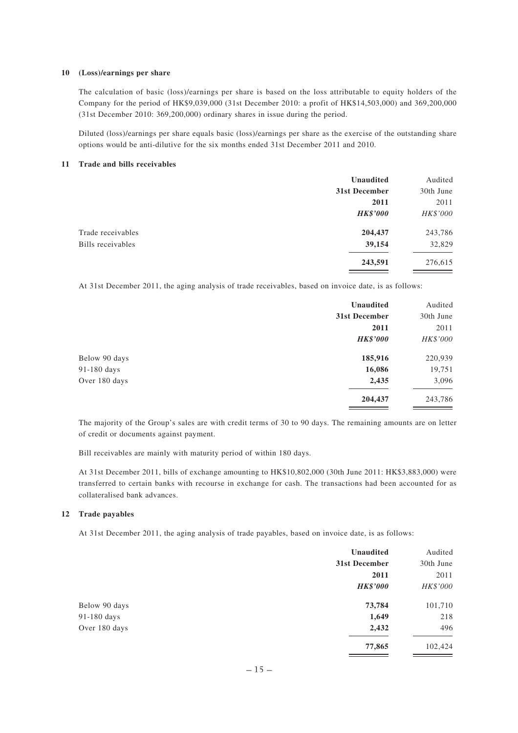#### **10 (Loss)/earnings per share**

The calculation of basic (loss)/earnings per share is based on the loss attributable to equity holders of the Company for the period of HK\$9,039,000 (31st December 2010: a profit of HK\$14,503,000) and 369,200,000 (31st December 2010: 369,200,000) ordinary shares in issue during the period.

Diluted (loss)/earnings per share equals basic (loss)/earnings per share as the exercise of the outstanding share options would be anti-dilutive for the six months ended 31st December 2011 and 2010.

#### **11 Trade and bills receivables**

|                   | Unaudited       | Audited   |
|-------------------|-----------------|-----------|
|                   | 31st December   | 30th June |
|                   | 2011            | 2011      |
|                   | <b>HK\$'000</b> | HK\$'000  |
| Trade receivables | 204,437         | 243,786   |
| Bills receivables | 39,154          | 32,829    |
|                   | 243,591         | 276,615   |

At 31st December 2011, the aging analysis of trade receivables, based on invoice date, is as follows:

|               | Unaudited       | Audited   |
|---------------|-----------------|-----------|
|               | 31st December   | 30th June |
|               | 2011            | 2011      |
|               | <b>HK\$'000</b> | HK\$'000  |
| Below 90 days | 185,916         | 220,939   |
| 91-180 days   | 16,086          | 19,751    |
| Over 180 days | 2,435           | 3,096     |
|               | 204,437         | 243,786   |

The majority of the Group's sales are with credit terms of 30 to 90 days. The remaining amounts are on letter of credit or documents against payment.

Bill receivables are mainly with maturity period of within 180 days.

At 31st December 2011, bills of exchange amounting to HK\$10,802,000 (30th June 2011: HK\$3,883,000) were transferred to certain banks with recourse in exchange for cash. The transactions had been accounted for as collateralised bank advances.

### **12 Trade payables**

At 31st December 2011, the aging analysis of trade payables, based on invoice date, is as follows:

|               | <b>Unaudited</b> | Audited   |
|---------------|------------------|-----------|
|               | 31st December    | 30th June |
|               | 2011             | 2011      |
|               | <b>HK\$'000</b>  | HK\$'000  |
| Below 90 days | 73,784           | 101,710   |
| 91-180 days   | 1,649            | 218       |
| Over 180 days | 2,432            | 496       |
|               | 77,865           | 102,424   |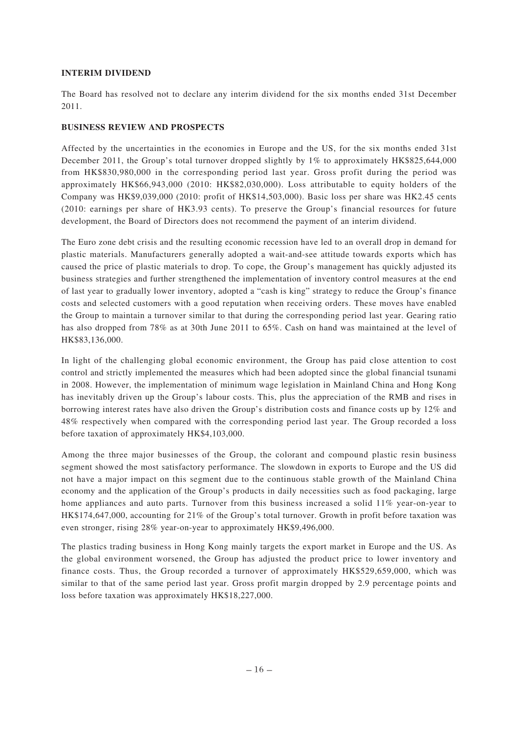## **INTERIM DIVIDEND**

The Board has resolved not to declare any interim dividend for the six months ended 31st December 2011.

## **BUSINESS REVIEW AND PROSPECTS**

Affected by the uncertainties in the economies in Europe and the US, for the six months ended 31st December 2011, the Group's total turnover dropped slightly by 1% to approximately HK\$825,644,000 from HK\$830,980,000 in the corresponding period last year. Gross profit during the period was approximately HK\$66,943,000 (2010: HK\$82,030,000). Loss attributable to equity holders of the Company was HK\$9,039,000 (2010: profit of HK\$14,503,000). Basic loss per share was HK2.45 cents (2010: earnings per share of HK3.93 cents). To preserve the Group's financial resources for future development, the Board of Directors does not recommend the payment of an interim dividend.

The Euro zone debt crisis and the resulting economic recession have led to an overall drop in demand for plastic materials. Manufacturers generally adopted a wait-and-see attitude towards exports which has caused the price of plastic materials to drop. To cope, the Group's management has quickly adjusted its business strategies and further strengthened the implementation of inventory control measures at the end of last year to gradually lower inventory, adopted a "cash is king" strategy to reduce the Group's finance costs and selected customers with a good reputation when receiving orders. These moves have enabled the Group to maintain a turnover similar to that during the corresponding period last year. Gearing ratio has also dropped from 78% as at 30th June 2011 to 65%. Cash on hand was maintained at the level of HK\$83,136,000.

In light of the challenging global economic environment, the Group has paid close attention to cost control and strictly implemented the measures which had been adopted since the global financial tsunami in 2008. However, the implementation of minimum wage legislation in Mainland China and Hong Kong has inevitably driven up the Group's labour costs. This, plus the appreciation of the RMB and rises in borrowing interest rates have also driven the Group's distribution costs and finance costs up by 12% and 48% respectively when compared with the corresponding period last year. The Group recorded a loss before taxation of approximately HK\$4,103,000.

Among the three major businesses of the Group, the colorant and compound plastic resin business segment showed the most satisfactory performance. The slowdown in exports to Europe and the US did not have a major impact on this segment due to the continuous stable growth of the Mainland China economy and the application of the Group's products in daily necessities such as food packaging, large home appliances and auto parts. Turnover from this business increased a solid 11% year-on-year to HK\$174,647,000, accounting for 21% of the Group's total turnover. Growth in profit before taxation was even stronger, rising 28% year-on-year to approximately HK\$9,496,000.

The plastics trading business in Hong Kong mainly targets the export market in Europe and the US. As the global environment worsened, the Group has adjusted the product price to lower inventory and finance costs. Thus, the Group recorded a turnover of approximately HK\$529,659,000, which was similar to that of the same period last year. Gross profit margin dropped by 2.9 percentage points and loss before taxation was approximately HK\$18,227,000.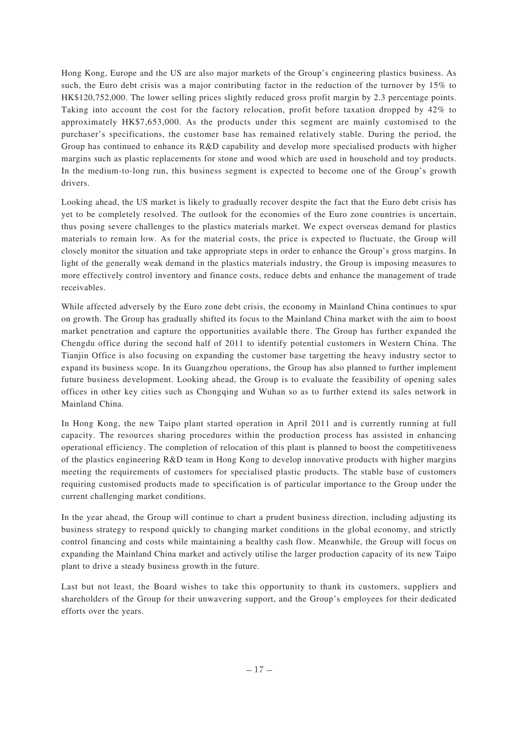Hong Kong, Europe and the US are also major markets of the Group's engineering plastics business. As such, the Euro debt crisis was a major contributing factor in the reduction of the turnover by 15% to HK\$120,752,000. The lower selling prices slightly reduced gross profit margin by 2.3 percentage points. Taking into account the cost for the factory relocation, profit before taxation dropped by 42% to approximately HK\$7,653,000. As the products under this segment are mainly customised to the purchaser's specifications, the customer base has remained relatively stable. During the period, the Group has continued to enhance its R&D capability and develop more specialised products with higher margins such as plastic replacements for stone and wood which are used in household and toy products. In the medium-to-long run, this business segment is expected to become one of the Group's growth drivers.

Looking ahead, the US market is likely to gradually recover despite the fact that the Euro debt crisis has yet to be completely resolved. The outlook for the economies of the Euro zone countries is uncertain, thus posing severe challenges to the plastics materials market. We expect overseas demand for plastics materials to remain low. As for the material costs, the price is expected to fluctuate, the Group will closely monitor the situation and take appropriate steps in order to enhance the Group's gross margins. In light of the generally weak demand in the plastics materials industry, the Group is imposing measures to more effectively control inventory and finance costs, reduce debts and enhance the management of trade receivables.

While affected adversely by the Euro zone debt crisis, the economy in Mainland China continues to spur on growth. The Group has gradually shifted its focus to the Mainland China market with the aim to boost market penetration and capture the opportunities available there. The Group has further expanded the Chengdu office during the second half of 2011 to identify potential customers in Western China. The Tianjin Office is also focusing on expanding the customer base targetting the heavy industry sector to expand its business scope. In its Guangzhou operations, the Group has also planned to further implement future business development. Looking ahead, the Group is to evaluate the feasibility of opening sales offices in other key cities such as Chongqing and Wuhan so as to further extend its sales network in Mainland China.

In Hong Kong, the new Taipo plant started operation in April 2011 and is currently running at full capacity. The resources sharing procedures within the production process has assisted in enhancing operational efficiency. The completion of relocation of this plant is planned to boost the competitiveness of the plastics engineering R&D team in Hong Kong to develop innovative products with higher margins meeting the requirements of customers for specialised plastic products. The stable base of customers requiring customised products made to specification is of particular importance to the Group under the current challenging market conditions.

In the year ahead, the Group will continue to chart a prudent business direction, including adjusting its business strategy to respond quickly to changing market conditions in the global economy, and strictly control financing and costs while maintaining a healthy cash flow. Meanwhile, the Group will focus on expanding the Mainland China market and actively utilise the larger production capacity of its new Taipo plant to drive a steady business growth in the future.

Last but not least, the Board wishes to take this opportunity to thank its customers, suppliers and shareholders of the Group for their unwavering support, and the Group's employees for their dedicated efforts over the years.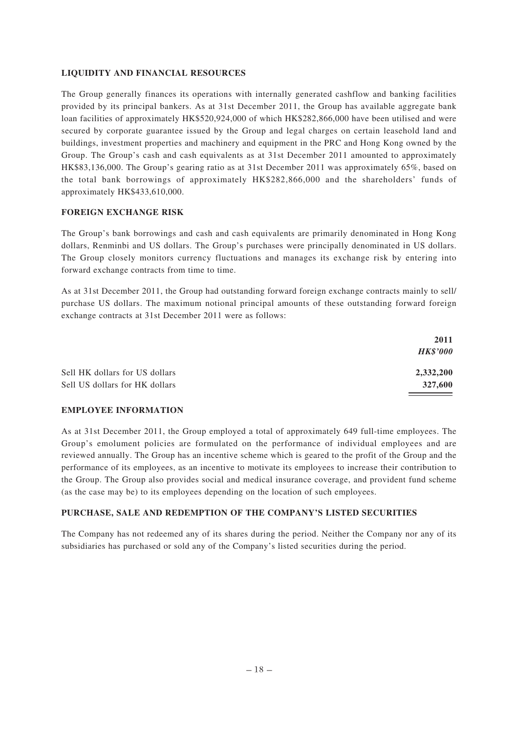## **LIQUIDITY AND FINANCIAL RESOURCES**

The Group generally finances its operations with internally generated cashflow and banking facilities provided by its principal bankers. As at 31st December 2011, the Group has available aggregate bank loan facilities of approximately HK\$520,924,000 of which HK\$282,866,000 have been utilised and were secured by corporate guarantee issued by the Group and legal charges on certain leasehold land and buildings, investment properties and machinery and equipment in the PRC and Hong Kong owned by the Group. The Group's cash and cash equivalents as at 31st December 2011 amounted to approximately HK\$83,136,000. The Group's gearing ratio as at 31st December 2011 was approximately 65%, based on the total bank borrowings of approximately HK\$282,866,000 and the shareholders' funds of approximately HK\$433,610,000.

### **FOREIGN EXCHANGE RISK**

The Group's bank borrowings and cash and cash equivalents are primarily denominated in Hong Kong dollars, Renminbi and US dollars. The Group's purchases were principally denominated in US dollars. The Group closely monitors currency fluctuations and manages its exchange risk by entering into forward exchange contracts from time to time.

As at 31st December 2011, the Group had outstanding forward foreign exchange contracts mainly to sell/ purchase US dollars. The maximum notional principal amounts of these outstanding forward foreign exchange contracts at 31st December 2011 were as follows:

| 2011            |
|-----------------|
| <b>HK\$'000</b> |
| 2,332,200       |
| 327,600         |
|                 |

#### **EMPLOYEE INFORMATION**

As at 31st December 2011, the Group employed a total of approximately 649 full-time employees. The Group's emolument policies are formulated on the performance of individual employees and are reviewed annually. The Group has an incentive scheme which is geared to the profit of the Group and the performance of its employees, as an incentive to motivate its employees to increase their contribution to the Group. The Group also provides social and medical insurance coverage, and provident fund scheme (as the case may be) to its employees depending on the location of such employees.

## **PURCHASE, SALE AND REDEMPTION OF THE COMPANY'S LISTED SECURITIES**

The Company has not redeemed any of its shares during the period. Neither the Company nor any of its subsidiaries has purchased or sold any of the Company's listed securities during the period.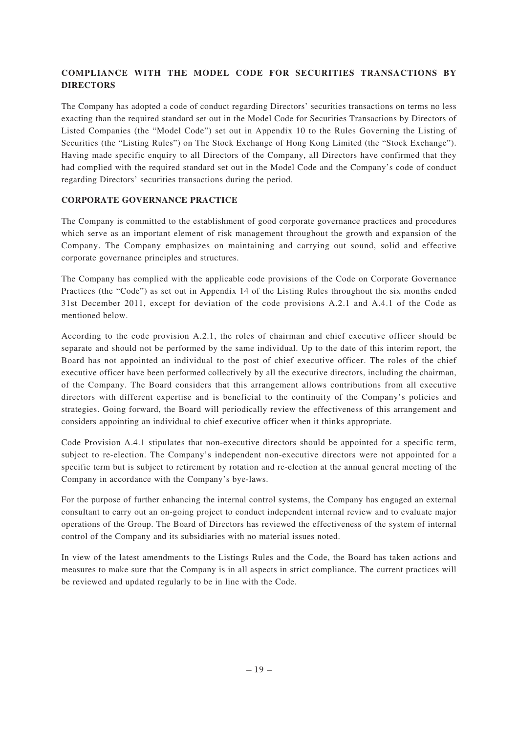## **COMPLIANCE WITH THE MODEL CODE FOR SECURITIES TRANSACTIONS BY DIRECTORS**

The Company has adopted a code of conduct regarding Directors' securities transactions on terms no less exacting than the required standard set out in the Model Code for Securities Transactions by Directors of Listed Companies (the "Model Code") set out in Appendix 10 to the Rules Governing the Listing of Securities (the "Listing Rules") on The Stock Exchange of Hong Kong Limited (the "Stock Exchange"). Having made specific enquiry to all Directors of the Company, all Directors have confirmed that they had complied with the required standard set out in the Model Code and the Company's code of conduct regarding Directors' securities transactions during the period.

## **CORPORATE GOVERNANCE PRACTICE**

The Company is committed to the establishment of good corporate governance practices and procedures which serve as an important element of risk management throughout the growth and expansion of the Company. The Company emphasizes on maintaining and carrying out sound, solid and effective corporate governance principles and structures.

The Company has complied with the applicable code provisions of the Code on Corporate Governance Practices (the "Code") as set out in Appendix 14 of the Listing Rules throughout the six months ended 31st December 2011, except for deviation of the code provisions A.2.1 and A.4.1 of the Code as mentioned below.

According to the code provision A.2.1, the roles of chairman and chief executive officer should be separate and should not be performed by the same individual. Up to the date of this interim report, the Board has not appointed an individual to the post of chief executive officer. The roles of the chief executive officer have been performed collectively by all the executive directors, including the chairman, of the Company. The Board considers that this arrangement allows contributions from all executive directors with different expertise and is beneficial to the continuity of the Company's policies and strategies. Going forward, the Board will periodically review the effectiveness of this arrangement and considers appointing an individual to chief executive officer when it thinks appropriate.

Code Provision A.4.1 stipulates that non-executive directors should be appointed for a specific term, subject to re-election. The Company's independent non-executive directors were not appointed for a specific term but is subject to retirement by rotation and re-election at the annual general meeting of the Company in accordance with the Company's bye-laws.

For the purpose of further enhancing the internal control systems, the Company has engaged an external consultant to carry out an on-going project to conduct independent internal review and to evaluate major operations of the Group. The Board of Directors has reviewed the effectiveness of the system of internal control of the Company and its subsidiaries with no material issues noted.

In view of the latest amendments to the Listings Rules and the Code, the Board has taken actions and measures to make sure that the Company is in all aspects in strict compliance. The current practices will be reviewed and updated regularly to be in line with the Code.